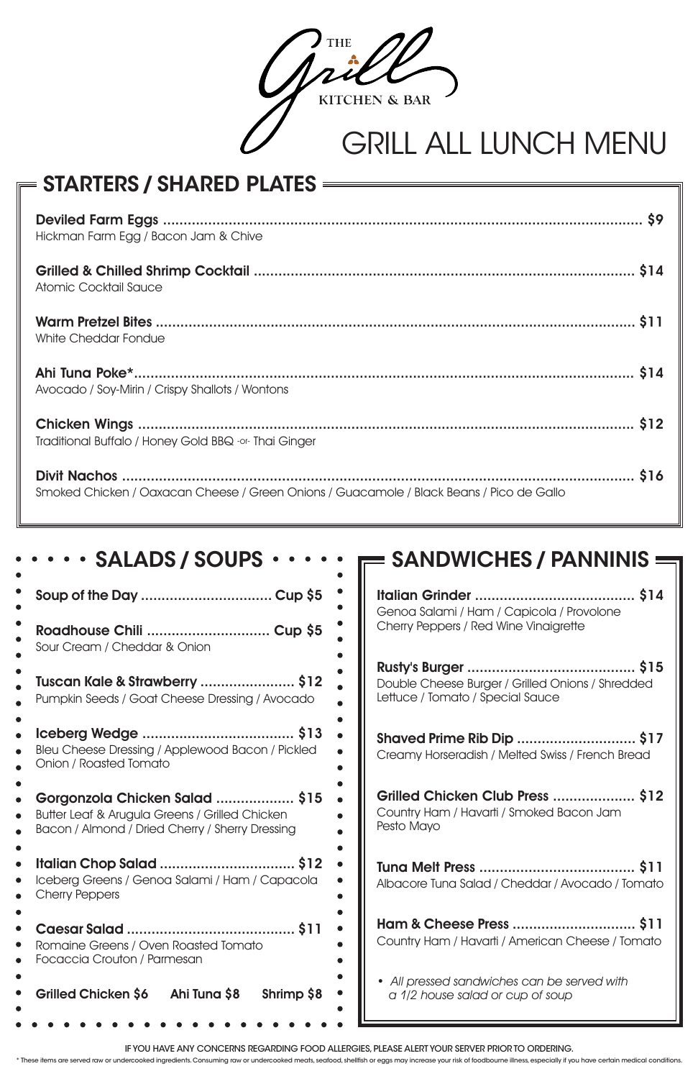THE KITCHEN & BAR

# GRILL ALL LUNCH MENU

| Hickman Farm Egg / Bacon Jam & Chive                                                     |  |
|------------------------------------------------------------------------------------------|--|
| Atomic Cocktail Sauce                                                                    |  |
| White Cheddar Fondue                                                                     |  |
|                                                                                          |  |
| Avocado / Soy-Mirin / Crispy Shallots / Wontons                                          |  |
|                                                                                          |  |
| Traditional Buffalo / Honey Gold BBQ -or- Thai Ginger                                    |  |
| Smoked Chicken / Oaxacan Cheese / Green Onions / Guacamole / Black Beans / Pico de Gallo |  |
|                                                                                          |  |

| <b>SALADS / SOUPS ·</b>                                                                              | = SANDWICHES / PANNINIS =                                                             |
|------------------------------------------------------------------------------------------------------|---------------------------------------------------------------------------------------|
| $Cup$ \$5<br>Soup of the Day                                                                         | Genoa Salami / Ham / Capicola / Provolone                                             |
| $Cup$ \$5<br>Roadhouse Chili<br>Sour Cream / Cheddar & Onion                                         | Cherry Peppers / Red Wine Vinaigrette                                                 |
| Tuscan Kale & Strawberry  \$12<br>Pumpkin Seeds / Goat Cheese Dressing / Avocado                     | Double Cheese Burger / Grilled Onions / Shredded<br>Lettuce / Tomato / Special Sauce  |
| $\bullet$<br>Bleu Cheese Dressing / Applewood Bacon / Pickled<br>$\bullet$<br>Onion / Roasted Tomato | <b>Shaved Prime Rib Dip  \$17</b><br>Creamy Horseradish / Melted Swiss / French Bread |
|                                                                                                      |                                                                                       |

| Gorgonzola Chicken Salad \$15<br>Butter Leaf & Arugula Greens / Grilled Chicken<br>Bacon / Almond / Dried Cherry / Sherry Dressing | Grilled Chicken Club Press  \$12<br>Country Ham / Havarti / Smoked Bacon Jam<br>Pesto Mayo |
|------------------------------------------------------------------------------------------------------------------------------------|--------------------------------------------------------------------------------------------|
| Iceberg Greens / Genoa Salami / Ham / Capacola<br><b>Cherry Peppers</b>                                                            | Albacore Tuna Salad / Cheddar / Avocado / Tomato                                           |
| Romaine Greens / Oven Roasted Tomato<br>Focaccia Crouton / Parmesan                                                                | Country Ham / Havarti / American Cheese / Tomato                                           |
| Ahi Tuna \$8<br>Shrimp \$8<br><b>Grilled Chicken \$6</b>                                                                           | All pressed sandwiches can be served with<br>a 1/2 house salad or cup of soup              |

IF YOU HAVE ANY CONCERNS REGARDING FOOD ALLERGIES, PLEASE ALERT YOUR SERVER PRIOR TO ORDERING.

\* These items are served raw or undercooked ingredients. Consuming raw or undercooked meats, seafood, shellfish or eggs may increase your risk of foodbourne illness, especially if you have certain medical conditions.